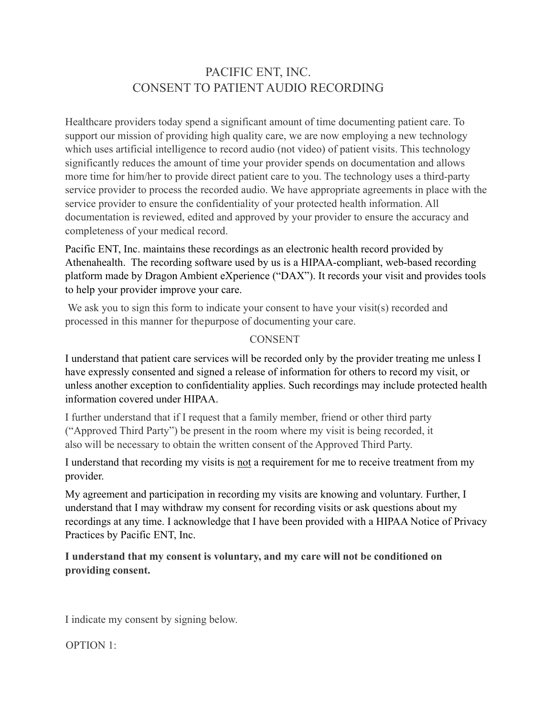## PACIFIC ENT, INC. CONSENT TO PATIENT AUDIO RECORDING

Healthcare providers today spend a significant amount of time documenting patient care. To support our mission of providing high quality care, we are now employing a new technology which uses artificial intelligence to record audio (not video) of patient visits. This technology significantly reduces the amount of time your provider spends on documentation and allows more time for him/her to provide direct patient care to you. The technology uses a third-party service provider to process the recorded audio. We have appropriate agreements in place with the service provider to ensure the confidentiality of your protected health information. All documentation is reviewed, edited and approved by your provider to ensure the accuracy and completeness of your medical record.

Pacific ENT, Inc. maintains these recordings as an electronic health record provided by Athenahealth. The recording software used by us is a HIPAA-compliant, web-based recording platform made by Dragon Ambient eXperience ("DAX"). It records your visit and provides tools to help your provider improve your care.

We ask you to sign this form to indicate your consent to have your visit(s) recorded and processed in this manner for thepurpose of documenting your care.

## CONSENT

I understand that patient care services will be recorded only by the provider treating me unless I have expressly consented and signed a release of information for others to record my visit, or unless another exception to confidentiality applies. Such recordings may include protected health information covered under HIPAA.

I further understand that if I request that a family member, friend or other third party ("Approved Third Party") be present in the room where my visit is being recorded, it also will be necessary to obtain the written consent of the Approved Third Party.

I understand that recording my visits is not a requirement for me to receive treatment from my provider.

My agreement and participation in recording my visits are knowing and voluntary. Further, I understand that I may withdraw my consent for recording visits or ask questions about my recordings at any time. I acknowledge that I have been provided with a HIPAA Notice of Privacy Practices by Pacific ENT, Inc.

## **I understand that my consent is voluntary, and my care will not be conditioned on providing consent.**

I indicate my consent by signing below.

OPTION 1: